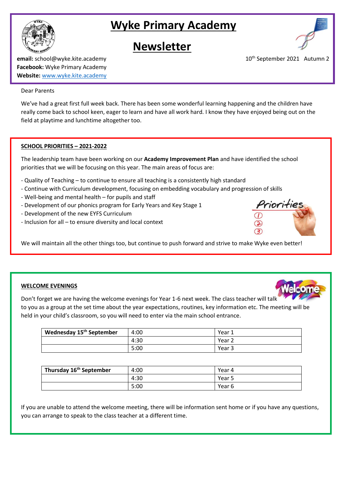

# **Newsletter**



**email:** school@wyke.kite.academy 10<sup>th</sup> September 2021 Autumn 2 **Facebook:** Wyke Primary Academy **Website:** [www.wyke.kite.academy](http://www.wyke.kite.academy/)

### Dear Parents

We've had a great first full week back. There has been some wonderful learning happening and the children have really come back to school keen, eager to learn and have all work hard. I know they have enjoyed being out on the field at playtime and lunchtime altogether too.

### **SCHOOL PRIORITIES – 2021-2022**

The leadership team have been working on our **Academy Improvement Plan** and have identified the school priorities that we will be focusing on this year. The main areas of focus are:

- Quality of Teaching to continue to ensure all teaching is a consistently high standard
- Continue with Curriculum development, focusing on embedding vocabulary and progression of skills
- Well-being and mental health for pupils and staff
- Development of our phonics program for Early Years and Key Stage 1
- Development of the new EYFS Curriculum
- Inclusion for all to ensure diversity and local context



We will maintain all the other things too, but continue to push forward and strive to make Wyke even better!

### **WELCOME EVENINGS**

Don't forget we are having the welcome evenings for Year 1-6 next week. The class teacher will talk to you as a group at the set time about the year expectations, routines, key information etc. The meeting will be held in your child's classroom, so you will need to enter via the main school entrance.

| Wednesday 15 <sup>th</sup> September | 4:00 | Year 1 |
|--------------------------------------|------|--------|
|                                      | 4:30 | Year 2 |
|                                      | 5:00 | Year 3 |

| Thursday 16 <sup>th</sup> September | 4:00 | Year 4 |
|-------------------------------------|------|--------|
|                                     | 4:30 | Year 5 |
|                                     | 5:00 | Year 6 |

If you are unable to attend the welcome meeting, there will be information sent home or if you have any questions, you can arrange to speak to the class teacher at a different time.

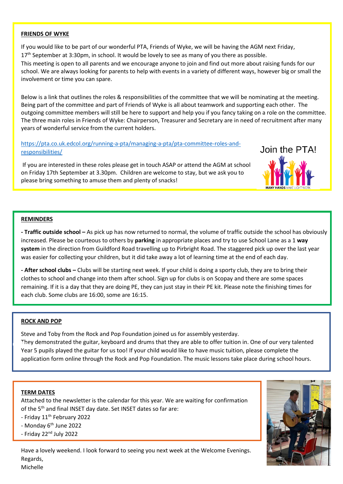### **FRIENDS OF WYKE**

If you would like to be part of our wonderful PTA, Friends of Wyke, we will be having the AGM next Friday, 17<sup>th</sup> September at 3:30pm, in school. It would be lovely to see as many of you there as possible. This meeting is open to all parents and we encourage anyone to join and find out more about raising funds for our school. We are always looking for parents to help with events in a variety of different ways, however big or small the involvement or time you can spare.

Below is a link that outlines the roles & responsibilities of the committee that we will be nominating at the meeting. Being part of the committee and part of Friends of Wyke is all about teamwork and supporting each other. The outgoing committee members will still be here to support and help you if you fancy taking on a role on the committee. The three main roles in Friends of Wyke: Chairperson, Treasurer and Secretary are in need of recruitment after many years of wonderful service from the current holders.

[https://pta.co.uk.edcol.org/running-a-pta/managing-a-pta/pta-committee-roles-and](https://pta.co.uk.edcol.org/running-a-pta/managing-a-pta/pta-committee-roles-and-responsibilities/)[responsibilities/](https://pta.co.uk.edcol.org/running-a-pta/managing-a-pta/pta-committee-roles-and-responsibilities/)

If you are interested in these roles please get in touch ASAP or attend the AGM at school on Friday 17th September at 3.30pm. Children are welcome to stay, but we ask you to please bring something to amuse them and plenty of snacks!



### **REMINDERS**

**- Traffic outside school –** As pick up has now returned to normal, the volume of traffic outside the school has obviously increased. Please be courteous to others by **parking** in appropriate places and try to use School Lane as a 1 **way system** in the direction from Guildford Road travelling up to Pirbright Road. The staggered pick up over the last year was easier for collecting your children, but it did take away a lot of learning time at the end of each day.

**- After school clubs –** Clubs will be starting next week. If your child is doing a sporty club, they are to bring their clothes to school and change into them after school. Sign up for clubs is on Scopay and there are some spaces remaining. If it is a day that they are doing PE, they can just stay in their PE kit. Please note the finishing times for each club. Some clubs are 16:00, some are 16:15.

### **ROCK AND POP**

Michelle

Steve and Toby from the Rock and Pop Foundation joined us for assembly yesterday. They demonstrated the guitar, keyboard and drums that they are able to offer tuition in. One of our very talented Year 5 pupils played the guitar for us too! If your child would like to have music tuition, please complete the application form online through the Rock and Pop Foundation. The music lessons take place during school hours.

### **TERM DATES**

Attached to the newsletter is the calendar for this year. We are waiting for confirmation of the 5<sup>th</sup> and final INSET day date. Set INSET dates so far are:

- Friday 11<sup>th</sup> February 2022

- Monday 6<sup>th</sup> June 2022

- Friday 22nd July 2022

Have a lovely weekend. I look forward to seeing you next week at the Welcome Evenings. Regards, Michelle

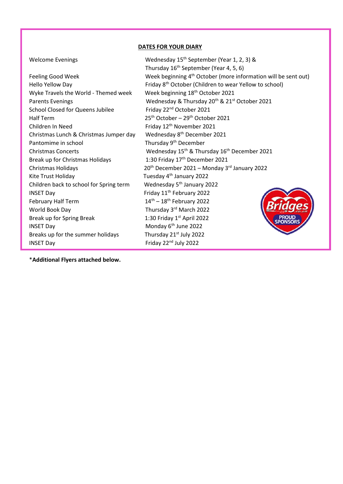### **DATES FOR YOUR DIARY**

Feeling Good Week Hello Yellow Day Wyke Travels the World - Themed week Week beginning 18<sup>th</sup> October 2021 School Closed for Queens Jubilee Friday 22<sup>nd</sup> October 2021 Half Term 25th October – 29th October 2021 Children In Need Friday 12<sup>th</sup> November 2021 Christmas Lunch & Christmas Jumper day Wednesday 8th December 2021 Pantomime in school Thursday 9<sup>th</sup> December Break up for Christmas Holidays 1:30 Friday 17<sup>th</sup> December 2021 Kite Trust Holiday **Tuesday 4<sup>th</sup> January 2022** Children back to school for Spring term Wednesday 5<sup>th</sup> January 2022 INSET Day  $Friday 11<sup>th</sup> February 2022$ February Half Term  $14<sup>th</sup> - 18<sup>th</sup>$  February 2022 World Book Day **Thursday 3<sup>rd</sup> March 2022** Break up for Spring Break 1:30 Friday 1st April 2022 INSET Day Monday 6<sup>th</sup> June 2022 Breaks up for the summer holidays Thursday 21<sup>st</sup> July 2022 INSET Day **Friday 22<sup>nd</sup> July 2022** 

Welcome Evenings Wednesday 15<sup>th</sup> September (Year 1, 2, 3) & Thursday 16<sup>th</sup> September (Year 4, 5, 6) Week beginning  $4<sup>th</sup>$  October (more information will be sent out) Friday 8<sup>th</sup> October (Children to wear Yellow to school) Parents Evenings Wednesday & Thursday 20<sup>th</sup> & 21<sup>st</sup> October 2021 Christmas Concerts Wednesday 15<sup>th</sup> & Thursday 16<sup>th</sup> December 2021 Christmas Holidays 2014 20th December 2021 – Monday  $3^{rd}$  January 2022

\***Additional Flyers attached below.**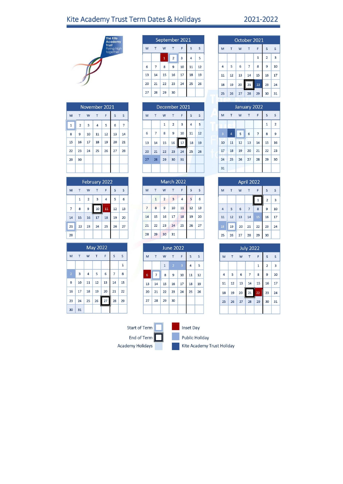# Kite Academy Trust Term Dates & Holidays

## 2021-2022



| November 2021 |                |                         |    |    |    |    |  |  |
|---------------|----------------|-------------------------|----|----|----|----|--|--|
| M             |                | W                       | T  | F  | S  | S  |  |  |
| $\mathbf{1}$  | $\overline{2}$ | $\overline{\mathbf{3}}$ | 4  | 5  | 6  |    |  |  |
| 8             | 9              | 10                      | 11 | 12 | 13 | 14 |  |  |
| 15            | 16             | 17                      | 18 | 19 | 20 | 21 |  |  |
| 22            | 23             | 24                      | 25 | 26 | 27 | 28 |  |  |
| 29            | 30             |                         |    |    |    |    |  |  |

|    | February 2022 |                |    |    |    |              |  |  |  |
|----|---------------|----------------|----|----|----|--------------|--|--|--|
| M  |               | W              | T. | F  | S  | $\mathsf{S}$ |  |  |  |
|    | $\mathbf{1}$  | $\overline{2}$ | 3  | 4  | 5  | 6            |  |  |  |
| 7  | 8             | 9              | 10 | 11 | 12 | 13           |  |  |  |
| 14 | 15            | 16             | 17 | 18 | 19 | 20           |  |  |  |
| 21 | 22            | 23             | 24 | 25 | 26 | 27           |  |  |  |
| 28 |               |                |    |    |    |              |  |  |  |

|                | <b>May 2022</b> |                |    |    |                |              |  |  |  |
|----------------|-----------------|----------------|----|----|----------------|--------------|--|--|--|
| M              | T               | W              | T  | F  | S              | S            |  |  |  |
|                |                 |                |    |    |                | $\mathbf{1}$ |  |  |  |
| $\overline{2}$ | 3               | $\overline{4}$ | 5  | 6  | $\overline{7}$ | 8            |  |  |  |
| 9              | 10              | 11             | 12 | 13 | 14             | 15           |  |  |  |
| 16             | 17              | 18             | 19 | 20 | 21             | 22           |  |  |  |
| 23             | 24              | 25             | 26 | 27 | 28             | 29           |  |  |  |
| 30             | 31              |                |    |    |                |              |  |  |  |

|    | September 2021 |                |                |    |                |    |  |  |  |  |
|----|----------------|----------------|----------------|----|----------------|----|--|--|--|--|
| M  | T              | W              | T              | F  | S              | S  |  |  |  |  |
|    |                | $\overline{1}$ | $\overline{2}$ | 3  | $\overline{4}$ | 5  |  |  |  |  |
| 6  | $\overline{7}$ | 8              | 9              | 10 | 11             | 12 |  |  |  |  |
| 13 | 14             | 15             | 16             | 17 | 18             | 19 |  |  |  |  |
| 20 | 21             | 22             | 23             | 24 | 25             | 26 |  |  |  |  |
| 27 | 28             | 29             | 30             |    |                |    |  |  |  |  |

| December 2021 |                |              |                |    |                |    |  |  |
|---------------|----------------|--------------|----------------|----|----------------|----|--|--|
| M             |                | W            |                | F  | S              | S  |  |  |
|               |                | $\mathbf{1}$ | $\overline{2}$ | 3  | $\overline{4}$ | 5  |  |  |
| 6             | $\overline{7}$ | 8            | 9              | 10 | 11             | 12 |  |  |
| 13            | 14             | 15           | 16             | 17 | 18             | 19 |  |  |
| 20            | 21             | 22           | 23             | 24 | 25             | 26 |  |  |
| 27            | 28             | 29           | 30             | 31 |                |    |  |  |
|               |                |              |                |    |                |    |  |  |

|                |              |                | March 2022     |                |    |    |
|----------------|--------------|----------------|----------------|----------------|----|----|
| M              | T            | W              |                | F              | S  | S  |
|                | $\mathbf{1}$ | $\overline{2}$ | $\overline{3}$ | $\overline{4}$ | 5  | 6  |
| $\overline{7}$ | 8            | 9              | 10             | 11             | 12 | 13 |
| 14             | 15           | 16             | 17             | 18             | 19 | 20 |
| 21             | 22           | 23             | 24             | 25             | 26 | 27 |
| 28             | 29           | 30             | 31             |                |    |    |

| <b>June 2022</b> |    |              |                |                         |                |    |  |  |  |
|------------------|----|--------------|----------------|-------------------------|----------------|----|--|--|--|
| M                | T  | F            | S              | S                       |                |    |  |  |  |
|                  |    | $\mathbf{1}$ | $\overline{2}$ | $\overline{\mathbf{3}}$ | $\overline{4}$ | 5  |  |  |  |
| 6                | 7  | 8            | 9              | 10                      | 11             | 12 |  |  |  |
| 13               | 14 | 15           | 16             | 17                      | 18             | 19 |  |  |  |
| 20               | 21 | 22           | 23             | 24                      | 25             | 26 |  |  |  |
| 27               | 28 | 29           | 30             |                         |                |    |  |  |  |
|                  |    |              |                |                         |                |    |  |  |  |

|    | October 2021 |    |    |              |                |    |  |  |  |
|----|--------------|----|----|--------------|----------------|----|--|--|--|
| M  | T            | W  |    | F            | S              | S  |  |  |  |
|    |              |    |    | $\mathbf{1}$ | $\overline{2}$ | 3  |  |  |  |
| 4  | 5            | 6  | 7  | 8            | 9              | 10 |  |  |  |
| 11 | 12           | 13 | 14 | 15           | 16             | 17 |  |  |  |
| 18 | 19           | 20 | 21 | 22           | 23             | 24 |  |  |  |
| 25 | 26           | 27 | 28 | 29           | 30             | 31 |  |  |  |

|    | January 2022   |    |    |    |              |                |  |  |  |
|----|----------------|----|----|----|--------------|----------------|--|--|--|
| M  | T              | W  | T  | F  | S            | S              |  |  |  |
|    |                |    |    |    | $\mathbf{1}$ | $\overline{2}$ |  |  |  |
| 3  | $\overline{4}$ | 5  | 6  | 7  | 8            | 9              |  |  |  |
| 10 | 11             | 12 | 13 | 14 | 15           | 16             |  |  |  |
| 17 | 18             | 19 | 20 | 21 | 22           | 23             |  |  |  |
| 24 | 25             | 26 | 27 | 28 | 29           | 30             |  |  |  |
| 31 |                |    |    |    |              |                |  |  |  |

| April 2022     |    |    |    |    |                |    |  |  |  |
|----------------|----|----|----|----|----------------|----|--|--|--|
| M              | s  | S  |    |    |                |    |  |  |  |
|                |    |    |    | 1  | $\overline{2}$ | 3  |  |  |  |
| $\overline{4}$ | 5  | 6  |    | 8  | 9              | 10 |  |  |  |
| 11             | 12 | 13 | 14 | 15 | 16             | 17 |  |  |  |
| 18             | 19 | 20 | 21 | 22 | 23             | 24 |  |  |  |
| 25             | 26 | 27 | 28 | 29 | 30             |    |  |  |  |

| <b>July 2022</b> |    |    |                |    |                |              |
|------------------|----|----|----------------|----|----------------|--------------|
| M                | T  | W  | T              | F  | S              | S            |
|                  |    |    |                | 1  | $\overline{2}$ | $\mathbf{3}$ |
| $\overline{4}$   | 5  | 6  | $\overline{7}$ | 8  | 9              | 10           |
| 11               | 12 | 13 | 14             | 15 | 16             | 17           |
| 18               | 19 | 20 | 21             | 22 | 23             | 24           |
| 25               | 26 | 27 | 28             | 29 | 30             | 31           |
|                  |    |    |                |    |                |              |

Start of Term End of Term

Academy Holidays



Public Holiday

Kite Academy Trust Holiday